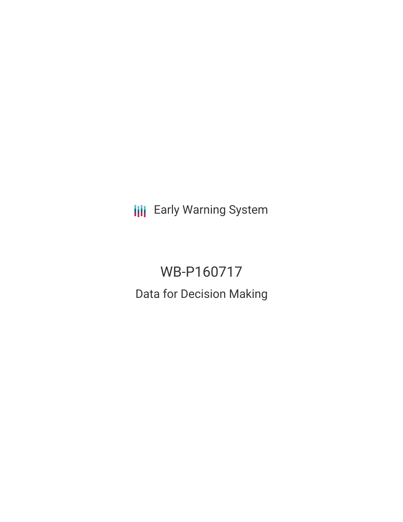**III** Early Warning System

# WB-P160717 Data for Decision Making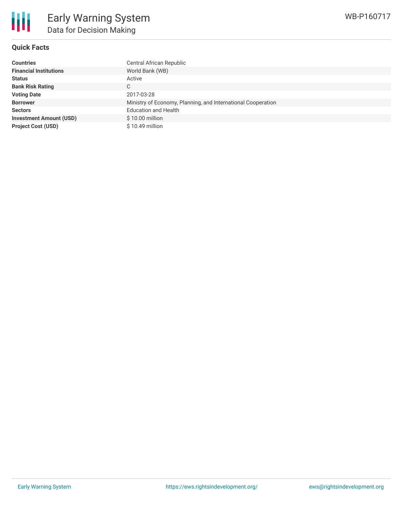

# **Quick Facts**

| <b>Countries</b>               | Central African Republic                                     |
|--------------------------------|--------------------------------------------------------------|
| <b>Financial Institutions</b>  | World Bank (WB)                                              |
| <b>Status</b>                  | Active                                                       |
| <b>Bank Risk Rating</b>        | C                                                            |
| <b>Voting Date</b>             | 2017-03-28                                                   |
| <b>Borrower</b>                | Ministry of Economy, Planning, and International Cooperation |
| <b>Sectors</b>                 | <b>Education and Health</b>                                  |
| <b>Investment Amount (USD)</b> | $$10.00$ million                                             |
| <b>Project Cost (USD)</b>      | \$10.49 million                                              |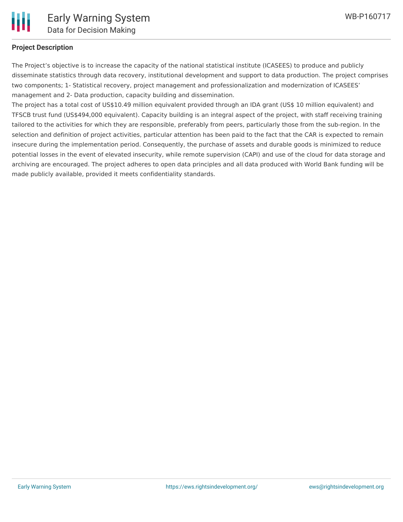

# **Project Description**

The Project's objective is to increase the capacity of the national statistical institute (ICASEES) to produce and publicly disseminate statistics through data recovery, institutional development and support to data production. The project comprises two components; 1- Statistical recovery, project management and professionalization and modernization of ICASEES' management and 2- Data production, capacity building and dissemination.

The project has a total cost of US\$10.49 million equivalent provided through an IDA grant (US\$ 10 million equivalent) and TFSCB trust fund (US\$494,000 equivalent). Capacity building is an integral aspect of the project, with staff receiving training tailored to the activities for which they are responsible, preferably from peers, particularly those from the sub-region. In the selection and definition of project activities, particular attention has been paid to the fact that the CAR is expected to remain insecure during the implementation period. Consequently, the purchase of assets and durable goods is minimized to reduce potential losses in the event of elevated insecurity, while remote supervision (CAPI) and use of the cloud for data storage and archiving are encouraged. The project adheres to open data principles and all data produced with World Bank funding will be made publicly available, provided it meets confidentiality standards.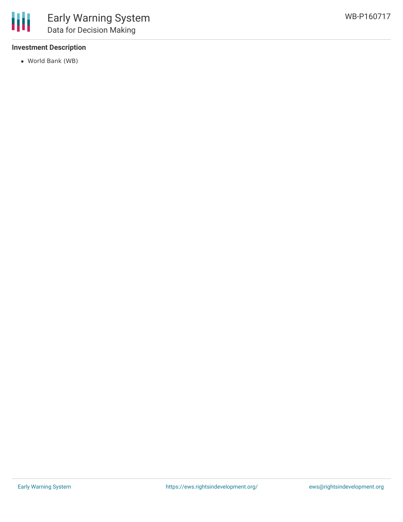# **Investment Description**

World Bank (WB)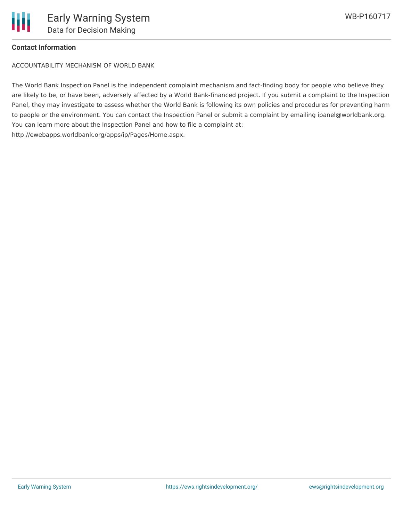# **Contact Information**

ACCOUNTABILITY MECHANISM OF WORLD BANK

The World Bank Inspection Panel is the independent complaint mechanism and fact-finding body for people who believe they are likely to be, or have been, adversely affected by a World Bank-financed project. If you submit a complaint to the Inspection Panel, they may investigate to assess whether the World Bank is following its own policies and procedures for preventing harm to people or the environment. You can contact the Inspection Panel or submit a complaint by emailing ipanel@worldbank.org. You can learn more about the Inspection Panel and how to file a complaint at: http://ewebapps.worldbank.org/apps/ip/Pages/Home.aspx.